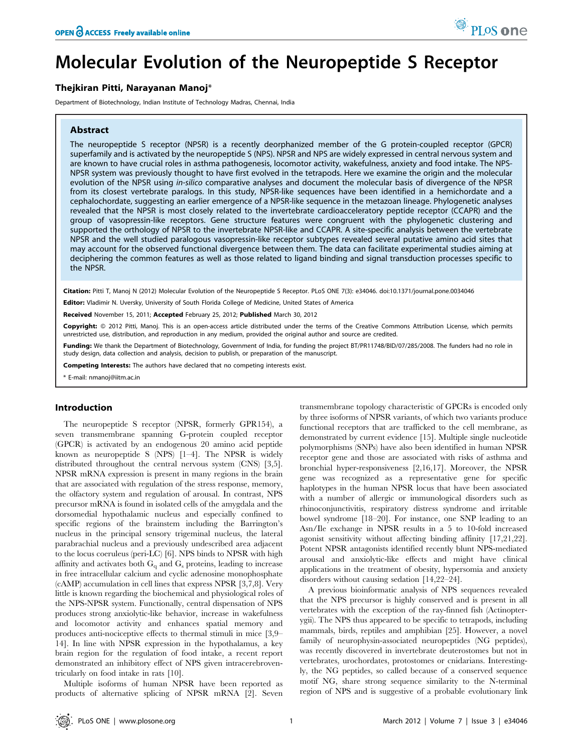# Molecular Evolution of the Neuropeptide S Receptor

# Thejkiran Pitti, Narayanan Manoj\*

Department of Biotechnology, Indian Institute of Technology Madras, Chennai, India

### Abstract

The neuropeptide S receptor (NPSR) is a recently deorphanized member of the G protein-coupled receptor (GPCR) superfamily and is activated by the neuropeptide S (NPS). NPSR and NPS are widely expressed in central nervous system and are known to have crucial roles in asthma pathogenesis, locomotor activity, wakefulness, anxiety and food intake. The NPS-NPSR system was previously thought to have first evolved in the tetrapods. Here we examine the origin and the molecular evolution of the NPSR using in-silico comparative analyses and document the molecular basis of divergence of the NPSR from its closest vertebrate paralogs. In this study, NPSR-like sequences have been identified in a hemichordate and a cephalochordate, suggesting an earlier emergence of a NPSR-like sequence in the metazoan lineage. Phylogenetic analyses revealed that the NPSR is most closely related to the invertebrate cardioacceleratory peptide receptor (CCAPR) and the group of vasopressin-like receptors. Gene structure features were congruent with the phylogenetic clustering and supported the orthology of NPSR to the invertebrate NPSR-like and CCAPR. A site-specific analysis between the vertebrate NPSR and the well studied paralogous vasopressin-like receptor subtypes revealed several putative amino acid sites that may account for the observed functional divergence between them. The data can facilitate experimental studies aiming at deciphering the common features as well as those related to ligand binding and signal transduction processes specific to the NPSR.

Citation: Pitti T, Manoj N (2012) Molecular Evolution of the Neuropeptide S Receptor. PLoS ONE 7(3): e34046. doi:10.1371/journal.pone.0034046

Editor: Vladimir N. Uversky, University of South Florida College of Medicine, United States of America

Received November 15, 2011; Accepted February 25, 2012; Published March 30, 2012

Copyright: @ 2012 Pitti, Manoj. This is an open-access article distributed under the terms of the Creative Commons Attribution License, which permits unrestricted use, distribution, and reproduction in any medium, provided the original author and source are credited.

Funding: We thank the Department of Biotechnology, Government of India, for funding the project BT/PR11748/BID/07/285/2008. The funders had no role in study design, data collection and analysis, decision to publish, or preparation of the manuscript.

Competing Interests: The authors have declared that no competing interests exist.

\* E-mail: nmanoj@iitm.ac.in

#### Introduction

The neuropeptide S receptor (NPSR, formerly GPR154), a seven transmembrane spanning G-protein coupled receptor (GPCR) is activated by an endogenous 20 amino acid peptide known as neuropeptide S (NPS) [1–4]. The NPSR is widely distributed throughout the central nervous system (CNS) [3,5]. NPSR mRNA expression is present in many regions in the brain that are associated with regulation of the stress response, memory, the olfactory system and regulation of arousal. In contrast, NPS precursor mRNA is found in isolated cells of the amygdala and the dorsomedial hypothalamic nucleus and especially confined to specific regions of the brainstem including the Barrington's nucleus in the principal sensory trigeminal nucleus, the lateral parabrachial nucleus and a previously undescribed area adjacent to the locus coeruleus (peri-LC) [6]. NPS binds to NPSR with high affinity and activates both  $G_q$  and  $G_s$  proteins, leading to increase in free intracellular calcium and cyclic adenosine monophosphate (cAMP) accumulation in cell lines that express NPSR [3,7,8]. Very little is known regarding the biochemical and physiological roles of the NPS-NPSR system. Functionally, central dispensation of NPS produces strong anxiolytic-like behavior, increase in wakefulness and locomotor activity and enhances spatial memory and produces anti-nociceptive effects to thermal stimuli in mice [3,9– 14]. In line with NPSR expression in the hypothalamus, a key brain region for the regulation of food intake, a recent report demonstrated an inhibitory effect of NPS given intracerebroventricularly on food intake in rats [10].

Multiple isoforms of human NPSR have been reported as products of alternative splicing of NPSR mRNA [2]. Seven transmembrane topology characteristic of GPCRs is encoded only by three isoforms of NPSR variants, of which two variants produce functional receptors that are trafficked to the cell membrane, as demonstrated by current evidence [15]. Multiple single nucleotide polymorphisms (SNPs) have also been identified in human NPSR receptor gene and those are associated with risks of asthma and bronchial hyper-responsiveness [2,16,17]. Moreover, the NPSR gene was recognized as a representative gene for specific haplotypes in the human NPSR locus that have been associated with a number of allergic or immunological disorders such as rhinoconjunctivitis, respiratory distress syndrome and irritable bowel syndrome [18–20]. For instance, one SNP leading to an Asn/Ile exchange in NPSR results in a 5 to 10-fold increased agonist sensitivity without affecting binding affinity [17,21,22]. Potent NPSR antagonists identified recently blunt NPS-mediated arousal and anxiolytic-like effects and might have clinical applications in the treatment of obesity, hypersomia and anxiety disorders without causing sedation [14,22–24].

A previous bioinformatic analysis of NPS sequences revealed that the NPS precursor is highly conserved and is present in all vertebrates with the exception of the ray-finned fish (Actinopterygii). The NPS thus appeared to be specific to tetrapods, including mammals, birds, reptiles and amphibian [25]. However, a novel family of neurophysin-associated neuropeptides (NG peptides), was recently discovered in invertebrate deuterostomes but not in vertebrates, urochordates, protostomes or cnidarians. Interestingly, the NG peptides, so called because of a conserved sequence motif NG, share strong sequence similarity to the N-terminal region of NPS and is suggestive of a probable evolutionary link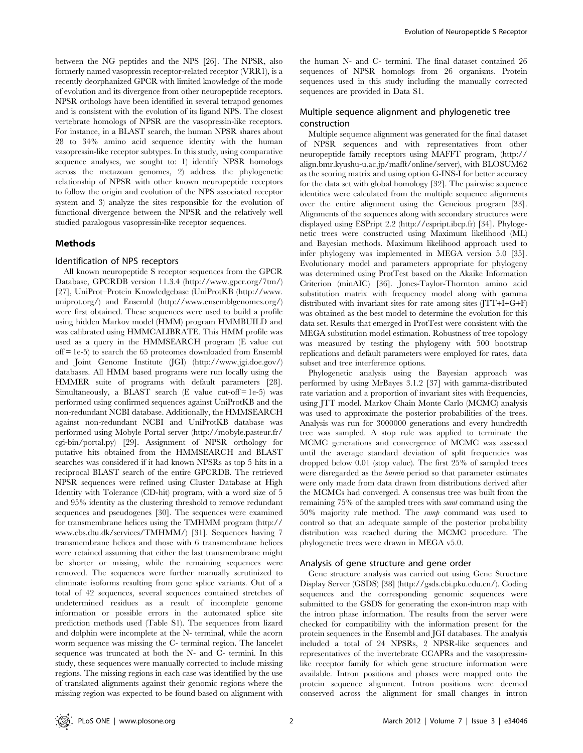between the NG peptides and the NPS [26]. The NPSR, also formerly named vasopressin receptor-related receptor (VRR1), is a recently deorphanized GPCR with limited knowledge of the mode of evolution and its divergence from other neuropeptide receptors. NPSR orthologs have been identified in several tetrapod genomes and is consistent with the evolution of its ligand NPS. The closest vertebrate homologs of NPSR are the vasopressin-like receptors. For instance, in a BLAST search, the human NPSR shares about 28 to 34% amino acid sequence identity with the human vasopressin-like receptor subtypes. In this study, using comparative sequence analyses, we sought to: 1) identify NPSR homologs across the metazoan genomes, 2) address the phylogenetic relationship of NPSR with other known neuropeptide receptors to follow the origin and evolution of the NPS associated receptor system and 3) analyze the sites responsible for the evolution of functional divergence between the NPSR and the relatively well studied paralogous vasopressin-like receptor sequences.

### Methods

#### Identification of NPS receptors

All known neuropeptide S receptor sequences from the GPCR Database, GPCRDB version 11.3.4 (http://www.gpcr.org/7tm/) [27], UniProt–Protein Knowledgebase (UniProtKB (http://www. uniprot.org/) and Ensembl (http://www.ensemblgenomes.org/) were first obtained. These sequences were used to build a profile using hidden Markov model (HMM) program HMMBUILD and was calibrated using HMMCALIBRATE. This HMM profile was used as a query in the HMMSEARCH program (E value cut off = 1e-5) to search the 65 proteomes downloaded from Ensembl and Joint Genome Institute (JGI) (http://www.jgi.doe.gov/) databases. All HMM based programs were run locally using the HMMER suite of programs with default parameters [28]. Simultaneously, a BLAST search (E value cut-off  $= 1e-5$ ) was performed using confirmed sequences against UniProtKB and the non-redundant NCBI database. Additionally, the HMMSEARCH against non-redundant NCBI and UniProtKB database was performed using Mobyle Portal server (http://mobyle.pasteur.fr/ cgi-bin/portal.py) [29]. Assignment of NPSR orthology for putative hits obtained from the HMMSEARCH and BLAST searches was considered if it had known NPSRs as top 5 hits in a reciprocal BLAST search of the entire GPCRDB. The retrieved NPSR sequences were refined using Cluster Database at High Identity with Tolerance (CD-hit) program, with a word size of 5 and 95% identity as the clustering threshold to remove redundant sequences and pseudogenes [30]. The sequences were examined for transmembrane helices using the TMHMM program (http:// www.cbs.dtu.dk/services/TMHMM/) [31]. Sequences having 7 transmembrane helices and those with 6 transmembrane helices were retained assuming that either the last transmembrane might be shorter or missing, while the remaining sequences were removed. The sequences were further manually scrutinized to eliminate isoforms resulting from gene splice variants. Out of a total of 42 sequences, several sequences contained stretches of undetermined residues as a result of incomplete genome information or possible errors in the automated splice site prediction methods used (Table S1). The sequences from lizard and dolphin were incomplete at the N- terminal, while the acorn worm sequence was missing the C- terminal region. The lancelet sequence was truncated at both the N- and C- termini. In this study, these sequences were manually corrected to include missing regions. The missing regions in each case was identified by the use of translated alignments against their genomic regions where the missing region was expected to be found based on alignment with

the human N- and C- termini. The final dataset contained 26 sequences of NPSR homologs from 26 organisms. Protein sequences used in this study including the manually corrected sequences are provided in Data S1.

# Multiple sequence alignment and phylogenetic tree construction

Multiple sequence alignment was generated for the final dataset of NPSR sequences and with representatives from other neuropeptide family receptors using MAFFT program, (http:// align.bmr.kyushu-u.ac.jp/mafft/online/server), with BLOSUM62 as the scoring matrix and using option G-INS-I for better accuracy for the data set with global homology [32]. The pairwise sequence identities were calculated from the multiple sequence alignments over the entire alignment using the Geneious program [33]. Alignments of the sequences along with secondary structures were displayed using ESPript 2.2 (http://espript.ibcp.fr) [34]. Phylogenetic trees were constructed using Maximum likelihood (ML) and Bayesian methods. Maximum likelihood approach used to infer phylogeny was implemented in MEGA version 5.0 [35]. Evolutionary model and parameters appropriate for phylogeny was determined using ProtTest based on the Akaike Information Criterion (minAIC) [36]. Jones-Taylor-Thornton amino acid substitution matrix with frequency model along with gamma distributed with invariant sites for rate among sites (JTT+I+G+F) was obtained as the best model to determine the evolution for this data set. Results that emerged in ProtTest were consistent with the MEGA substitution model estimation. Robustness of tree topology was measured by testing the phylogeny with 500 bootstrap replications and default parameters were employed for rates, data subset and tree interference options.

Phylogenetic analysis using the Bayesian approach was performed by using MrBayes 3.1.2 [37] with gamma-distributed rate variation and a proportion of invariant sites with frequencies, using JTT model. Markov Chain Monte Carlo (MCMC) analysis was used to approximate the posterior probabilities of the trees. Analysis was run for 3000000 generations and every hundredth tree was sampled. A stop rule was applied to terminate the MCMC generations and convergence of MCMC was assessed until the average standard deviation of split frequencies was dropped below 0.01 (stop value). The first 25% of sampled trees were disregarded as the burnin period so that parameter estimates were only made from data drawn from distributions derived after the MCMCs had converged. A consensus tree was built from the remaining 75% of the sampled trees with sumt command using the 50% majority rule method. The sump command was used to control so that an adequate sample of the posterior probability distribution was reached during the MCMC procedure. The phylogenetic trees were drawn in MEGA v5.0.

#### Analysis of gene structure and gene order

Gene structure analysis was carried out using Gene Structure Display Server (GSDS) [38] (http://gsds.cbi.pku.edu.cn/). Coding sequences and the corresponding genomic sequences were submitted to the GSDS for generating the exon-intron map with the intron phase information. The results from the server were checked for compatibility with the information present for the protein sequences in the Ensembl and JGI databases. The analysis included a total of 24 NPSRs, 2 NPSR-like sequences and representatives of the invertebrate CCAPRs and the vasopressinlike receptor family for which gene structure information were available. Intron positions and phases were mapped onto the protein sequence alignment. Intron positions were deemed conserved across the alignment for small changes in intron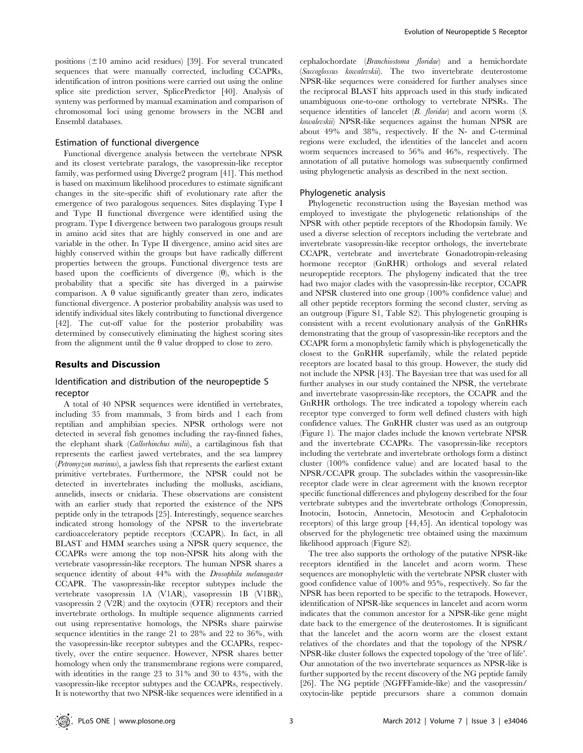positions  $(\pm 10$  amino acid residues) [39]. For several truncated sequences that were manually corrected, including CCAPRs, identification of intron positions were carried out using the online splice site prediction server, SplicePredictor [40]. Analysis of synteny was performed by manual examination and comparison of chromosomal loci using genome browsers in the NCBI and Ensembl databases.

#### Estimation of functional divergence

Functional divergence analysis between the vertebrate NPSR and its closest vertebrate paralogs, the vasopressin-like receptor family, was performed using Diverge2 program [41]. This method is based on maximum likelihood procedures to estimate significant changes in the site-specific shift of evolutionary rate after the emergence of two paralogous sequences. Sites displaying Type I and Type II functional divergence were identified using the program. Type I divergence between two paralogous groups result in amino acid sites that are highly conserved in one and are variable in the other. In Type II divergence, amino acid sites are highly conserved within the groups but have radically different properties between the groups. Functional divergence tests are based upon the coefficients of divergence  $(\theta)$ , which is the probability that a specific site has diverged in a pairwise comparison. A  $\theta$  value significantly greater than zero, indicates functional divergence. A posterior probability analysis was used to identify individual sites likely contributing to functional divergence [42]. The cut-off value for the posterior probability was determined by consecutively eliminating the highest scoring sites from the alignment until the  $\theta$  value dropped to close to zero.

#### Results and Discussion

# Identification and distribution of the neuropeptide S receptor

A total of 40 NPSR sequences were identified in vertebrates, including 35 from mammals, 3 from birds and 1 each from reptilian and amphibian species. NPSR orthologs were not detected in several fish genomes including the ray-finned fishes, the elephant shark (Callorhinchus milii), a cartilaginous fish that represents the earliest jawed vertebrates, and the sea lamprey (Petromyzon marinus), a jawless fish that represents the earliest extant primitive vertebrates. Furthermore, the NPSR could not be detected in invertebrates including the mollusks, ascidians, annelids, insects or cnidaria. These observations are consistent with an earlier study that reported the existence of the NPS peptide only in the tetrapods [25]. Interestingly, sequence searches indicated strong homology of the NPSR to the invertebrate cardioacceleratory peptide receptors (CCAPR). In fact, in all BLAST and HMM searches using a NPSR query sequence, the CCAPRs were among the top non-NPSR hits along with the vertebrate vasopressin-like receptors. The human NPSR shares a sequence identity of about 44% with the *Drosophila melanogaster* CCAPR. The vasopressin-like receptor subtypes include the vertebrate vasopressin 1A (V1AR), vasopressin 1B (V1BR), vasopressin 2 (V2R) and the oxytocin (OTR) receptors and their invertebrate orthologs. In multiple sequence alignments carried out using representative homologs, the NPSRs share pairwise sequence identities in the range 21 to 28% and 22 to 36%, with the vasopressin-like receptor subtypes and the CCAPRs, respectively, over the entire sequence. However, NPSR shares better homology when only the transmembrane regions were compared, with identities in the range 23 to 31% and 30 to 43%, with the vasopressin-like receptor subtypes and the CCAPRs, respectively. It is noteworthy that two NPSR-like sequences were identified in a cephalochordate (Branchiostoma floridae) and a hemichordate (Saccoglossus kowalevskii). The two invertebrate deuterostome NPSR-like sequences were considered for further analyses since the reciprocal BLAST hits approach used in this study indicated unambiguous one-to-one orthology to vertebrate NPSRs. The sequence identities of lancelet (B. floridae) and acorn worm (S. kowalevskii) NPSR-like sequences against the human NPSR are about 49% and 38%, respectively. If the N- and C-terminal regions were excluded, the identities of the lancelet and acorn worm sequences increased to 56% and 46%, respectively. The annotation of all putative homologs was subsequently confirmed using phylogenetic analysis as described in the next section.

#### Phylogenetic analysis

Phylogenetic reconstruction using the Bayesian method was employed to investigate the phylogenetic relationships of the NPSR with other peptide receptors of the Rhodopsin family. We used a diverse selection of receptors including the vertebrate and invertebrate vasopressin-like receptor orthologs, the invertebrate CCAPR, vertebrate and invertebrate Gonadotropin-releasing hormone receptor (GnRHR) orthologs and several related neuropeptide receptors. The phylogeny indicated that the tree had two major clades with the vasopressin-like receptor, CCAPR and NPSR clustered into one group (100% confidence value) and all other peptide receptors forming the second cluster, serving as an outgroup (Figure S1, Table S2). This phylogenetic grouping is consistent with a recent evolutionary analysis of the GnRHRs demonstrating that the group of vasopressin-like receptors and the CCAPR form a monophyletic family which is phylogenetically the closest to the GnRHR superfamily, while the related peptide receptors are located basal to this group. However, the study did not include the NPSR [43]. The Bayesian tree that was used for all further analyses in our study contained the NPSR, the vertebrate and invertebrate vasopressin-like receptors, the CCAPR and the GnRHR orthologs. The tree indicated a topology wherein each receptor type converged to form well defined clusters with high confidence values. The GnRHR cluster was used as an outgroup (Figure 1). The major clades include the known vertebrate NPSR and the invertebrate CCAPRs. The vasopressin-like receptors including the vertebrate and invertebrate orthologs form a distinct cluster (100% confidence value) and are located basal to the NPSR/CCAPR group. The subclades within the vasopressin-like receptor clade were in clear agreement with the known receptor specific functional differences and phylogeny described for the four vertebrate subtypes and the invertebrate orthologs (Conopressin, Inotocin, Isotocin, Annetocin, Mesotocin and Cephalotocin receptors) of this large group [44,45]. An identical topology was observed for the phylogenetic tree obtained using the maximum likelihood approach (Figure S2).

The tree also supports the orthology of the putative NPSR-like receptors identified in the lancelet and acorn worm. These sequences are monophyletic with the vertebrate NPSR cluster with good confidence value of 100% and 95%, respectively. So far the NPSR has been reported to be specific to the tetrapods. However, identification of NPSR-like sequences in lancelet and acorn worm indicates that the common ancestor for a NPSR-like gene might date back to the emergence of the deuterostomes. It is significant that the lancelet and the acorn worm are the closest extant relatives of the chordates and that the topology of the NPSR/ NPSR-like cluster follows the expected topology of the 'tree of life'. Our annotation of the two invertebrate sequences as NPSR-like is further supported by the recent discovery of the NG peptide family [26]. The NG peptide (NGFFFamide-like) and the vasopressin/ oxytocin-like peptide precursors share a common domain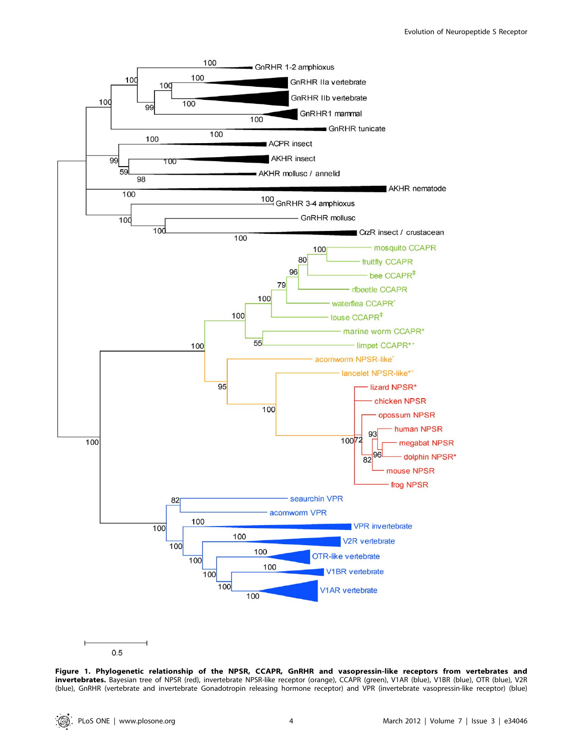

Figure 1. Phylogenetic relationship of the NPSR, CCAPR, GnRHR and vasopressin-like receptors from vertebrates and invertebrates. Bayesian tree of NPSR (red), invertebrate NPSR-like receptor (orange), CCAPR (green), V1AR (blue), V1BR (blue), OTR (blue), V2R (blue), GnRHR (vertebrate and invertebrate Gonadotropin releasing hormone receptor) and VPR (invertebrate vasopressin-like receptor) (blue)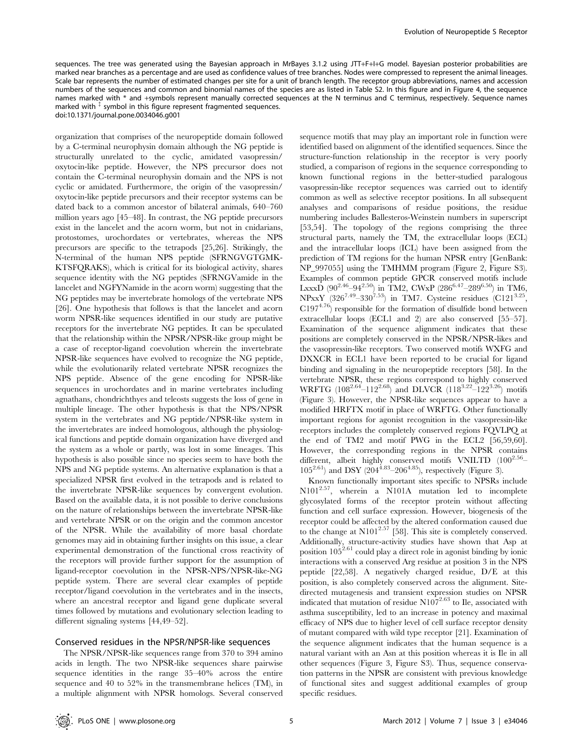sequences. The tree was generated using the Bayesian approach in MrBayes 3.1.2 using JTT+F+I+G model. Bayesian posterior probabilities are marked near branches as a percentage and are used as confidence values of tree branches. Nodes were compressed to represent the animal lineages. Scale bar represents the number of estimated changes per site for a unit of branch length. The receptor group abbreviations, names and accession numbers of the sequences and common and binomial names of the species are as listed in Table S2. In this figure and in Figure 4, the sequence names marked with \* and +symbols represent manually corrected sequences at the N terminus and C terminus, respectively. Sequence names marked with  $\frac{1}{x}$  symbol in this figure represent fragmented sequences. doi:10.1371/journal.pone.0034046.g001

organization that comprises of the neuropeptide domain followed by a C-terminal neurophysin domain although the NG peptide is structurally unrelated to the cyclic, amidated vasopressin/ oxytocin-like peptide. However, the NPS precursor does not contain the C-terminal neurophysin domain and the NPS is not cyclic or amidated. Furthermore, the origin of the vasopressin/ oxytocin-like peptide precursors and their receptor systems can be dated back to a common ancestor of bilateral animals, 640–760 million years ago [45–48]. In contrast, the NG peptide precursors exist in the lancelet and the acorn worm, but not in cnidarians, protostomes, urochordates or vertebrates, whereas the NPS precursors are specific to the tetrapods [25,26]. Strikingly, the N-terminal of the human NPS peptide (SFRNGVGTGMK-KTSFQRAKS), which is critical for its biological activity, shares sequence identity with the NG peptides (SFRNGVamide in the lancelet and NGFYNamide in the acorn worm) suggesting that the NG peptides may be invertebrate homologs of the vertebrate NPS [26]. One hypothesis that follows is that the lancelet and acorn worm NPSR-like sequences identified in our study are putative receptors for the invertebrate NG peptides. It can be speculated that the relationship within the NPSR/NPSR-like group might be a case of receptor-ligand coevolution wherein the invertebrate NPSR-like sequences have evolved to recognize the NG peptide, while the evolutionarily related vertebrate NPSR recognizes the NPS peptide. Absence of the gene encoding for NPSR-like sequences in urochordates and in marine vertebrates including agnathans, chondrichthyes and teleosts suggests the loss of gene in multiple lineage. The other hypothesis is that the NPS/NPSR system in the vertebrates and NG peptide/NPSR-like system in the invertebrates are indeed homologous, although the physiological functions and peptide domain organization have diverged and the system as a whole or partly, was lost in some lineages. This hypothesis is also possible since no species seem to have both the NPS and NG peptide systems. An alternative explanation is that a specialized NPSR first evolved in the tetrapods and is related to the invertebrate NPSR-like sequences by convergent evolution. Based on the available data, it is not possible to derive conclusions on the nature of relationships between the invertebrate NPSR-like and vertebrate NPSR or on the origin and the common ancestor of the NPSR. While the availability of more basal chordate genomes may aid in obtaining further insights on this issue, a clear experimental demonstration of the functional cross reactivity of the receptors will provide further support for the assumption of ligand-receptor coevolution in the NPSR-NPS/NPSR-like-NG peptide system. There are several clear examples of peptide receptor/ligand coevolution in the vertebrates and in the insects, where an ancestral receptor and ligand gene duplicate several times followed by mutations and evolutionary selection leading to different signaling systems [44,49–52].

# Conserved residues in the NPSR/NPSR-like sequences

The NPSR/NPSR-like sequences range from 370 to 394 amino acids in length. The two NPSR-like sequences share pairwise sequence identities in the range 35–40% across the entire sequence and 40 to 52% in the transmembrane helices (TM), in a multiple alignment with NPSR homologs. Several conserved sequence motifs that may play an important role in function were identified based on alignment of the identified sequences. Since the structure-function relationship in the receptor is very poorly studied, a comparison of regions in the sequence corresponding to known functional regions in the better-studied paralogous vasopressin-like receptor sequences was carried out to identify common as well as selective receptor positions. In all subsequent analyses and comparisons of residue positions, the residue numbering includes Ballesteros-Weinstein numbers in superscript [53,54]. The topology of the regions comprising the three structural parts, namely the TM, the extracellular loops (ECL) and the intracellular loops (ICL) have been assigned from the prediction of TM regions for the human NPSR entry [GenBank: NP\_997055] using the TMHMM program (Figure 2, Figure S3). Examples of common peptide GPCR conserved motifs include LxxxD  $(90^{2.46} - 94^{2.50})$  in TM2, CWxP  $(286^{6.47} - 289^{6.50})$  in TM6, NPxxY (326<sup>7.49</sup>-330<sup>7.53</sup>) in TM7. Cysteine residues (C121<sup>3.25</sup>,  $C197^{4.76}$ ) responsible for the formation of disulfide bond between extracellular loops (ECL1 and 2) are also conserved [55–57]. Examination of the sequence alignment indicates that these positions are completely conserved in the NPSR/NPSR-likes and the vasopressin-like receptors. Two conserved motifs WXFG and DXXCR in ECL1 have been reported to be crucial for ligand binding and signaling in the neuropeptide receptors [58]. In the vertebrate NPSR, these regions correspond to highly conserved WRFTG  $(108^{2.64} - 112^{2.68})$  and DLVCR  $(118^{3.22} - 122^{3.26})$  motifs (Figure 3). However, the NPSR-like sequences appear to have a modified HRFTX motif in place of WRFTG. Other functionally important regions for agonist recognition in the vasopressin-like receptors includes the completely conserved regions FQVLPQ at the end of TM2 and motif PWG in the ECL2 [56,59,60]. However, the corresponding regions in the NPSR contains different, albeit highly conserved motifs VNILTD (100<sup>2.56</sup>- $105^{2.61}$ ) and DSY ( $204^{4.83}$ - $206^{4.85}$ ), respectively (Figure 3).

Known functionally important sites specific to NPSRs include N1012.57, wherein a N101A mutation led to incomplete glycosylated forms of the receptor protein without affecting function and cell surface expression. However, biogenesis of the receptor could be affected by the altered conformation caused due to the change at  $N101^{2.57}$  [58]. This site is completely conserved. Additionally, structure-activity studies have shown that Asp at position  $105^{2.61}$  could play a direct role in agonist binding by ionic interactions with a conserved Arg residue at position 3 in the NPS peptide [22,58]. A negatively charged residue, D/E at this position, is also completely conserved across the alignment. Sitedirected mutagenesis and transient expression studies on NPSR indicated that mutation of residue  $N107^{2.63}$  to Ile, associated with asthma susceptibility, led to an increase in potency and maximal efficacy of NPS due to higher level of cell surface receptor density of mutant compared with wild type receptor [21]. Examination of the sequence alignment indicates that the human sequence is a natural variant with an Asn at this position whereas it is Ile in all other sequences (Figure 3, Figure S3). Thus, sequence conservation patterns in the NPSR are consistent with previous knowledge of functional sites and suggest additional examples of group specific residues.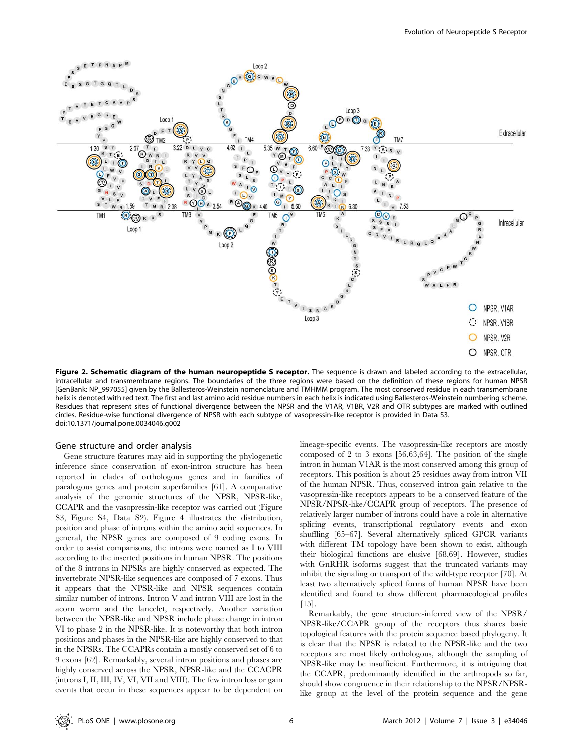

Figure 2. Schematic diagram of the human neuropeptide S receptor. The sequence is drawn and labeled according to the extracellular, intracellular and transmembrane regions. The boundaries of the three regions were based on the definition of these regions for human NPSR [GenBank: NP\_997055] given by the Ballesteros-Weinstein nomenclature and TMHMM program. The most conserved residue in each transmembrane helix is denoted with red text. The first and last amino acid residue numbers in each helix is indicated using Ballesteros-Weinstein numbering scheme. Residues that represent sites of functional divergence between the NPSR and the V1AR, V1BR, V2R and OTR subtypes are marked with outlined circles. Residue-wise functional divergence of NPSR with each subtype of vasopressin-like receptor is provided in Data S3. doi:10.1371/journal.pone.0034046.g002

#### Gene structure and order analysis

Gene structure features may aid in supporting the phylogenetic inference since conservation of exon-intron structure has been reported in clades of orthologous genes and in families of paralogous genes and protein superfamilies [61]. A comparative analysis of the genomic structures of the NPSR, NPSR-like, CCAPR and the vasopressin-like receptor was carried out (Figure S3, Figure S4, Data S2). Figure 4 illustrates the distribution, position and phase of introns within the amino acid sequences. In general, the NPSR genes are composed of 9 coding exons. In order to assist comparisons, the introns were named as I to VIII according to the inserted positions in human NPSR. The positions of the 8 introns in NPSRs are highly conserved as expected. The invertebrate NPSR-like sequences are composed of 7 exons. Thus it appears that the NPSR-like and NPSR sequences contain similar number of introns. Intron V and intron VIII are lost in the acorn worm and the lancelet, respectively. Another variation between the NPSR-like and NPSR include phase change in intron VI to phase 2 in the NPSR-like. It is noteworthy that both intron positions and phases in the NPSR-like are highly conserved to that in the NPSRs. The CCAPRs contain a mostly conserved set of 6 to 9 exons [62]. Remarkably, several intron positions and phases are highly conserved across the NPSR, NPSR-like and the CCACPR (introns I, II, III, IV, VI, VII and VIII). The few intron loss or gain events that occur in these sequences appear to be dependent on

lineage-specific events. The vasopressin-like receptors are mostly composed of 2 to 3 exons [56,63,64]. The position of the single intron in human V1AR is the most conserved among this group of receptors. This position is about 25 residues away from intron VII of the human NPSR. Thus, conserved intron gain relative to the vasopressin-like receptors appears to be a conserved feature of the NPSR/NPSR-like/CCAPR group of receptors. The presence of relatively larger number of introns could have a role in alternative splicing events, transcriptional regulatory events and exon shuffling [65–67]. Several alternatively spliced GPCR variants with different TM topology have been shown to exist, although their biological functions are elusive [68,69]. However, studies with GnRHR isoforms suggest that the truncated variants may inhibit the signaling or transport of the wild-type receptor [70]. At least two alternatively spliced forms of human NPSR have been identified and found to show different pharmacological profiles  $[15]$ .

Remarkably, the gene structure-inferred view of the NPSR/ NPSR-like/CCAPR group of the receptors thus shares basic topological features with the protein sequence based phylogeny. It is clear that the NPSR is related to the NPSR-like and the two receptors are most likely orthologous, although the sampling of NPSR-like may be insufficient. Furthermore, it is intriguing that the CCAPR, predominantly identified in the arthropods so far, should show congruence in their relationship to the NPSR/NPSRlike group at the level of the protein sequence and the gene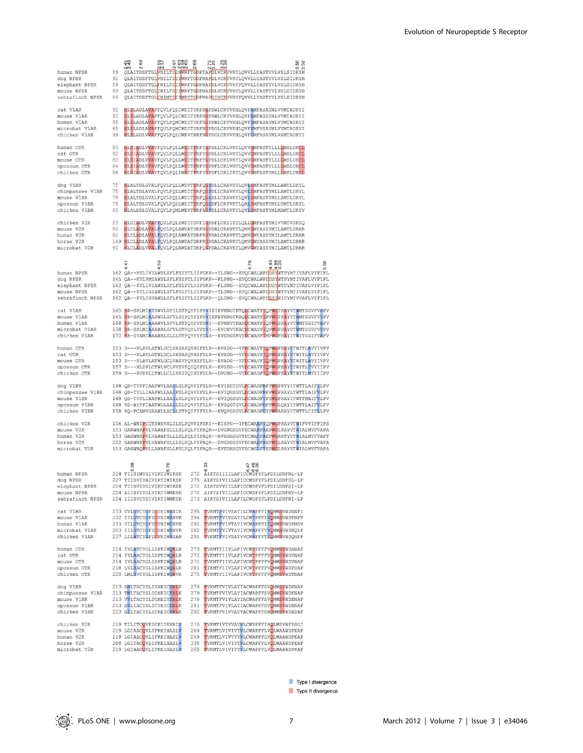| human NPSR<br>dog NPSR<br>elephant NPSR<br>mouse NPSR<br>zebrafinch NPSR                                                                                                                                                                                                                                                                                                                                      | 89<br>92<br>89<br>89<br>89 | 44<br>S<br>$\overline{N}$ | 557<br>6 666<br>N NNN<br>NΝ                              | 2<br>OLAITDSFTGLWNILTDINWRFTGDFTAPDLVCRWVRYLOVVLLYASTYVLVSLSIDRYH<br>QLAITDSFTGLWNILTDIIWRFTGDFMAPDLVCRWVRYLQVVLLYASTYVLVSLSIDRYH<br>QLAITDSFTGLFNILTD <mark>IIWRFTGDFMAP</mark> DLVCRVVRYFQVVLLYASTYVLVSLSIDRYH<br>QLAITDSFTGLINILTDIIWRFTGDFMAPDLVCRWVRYLQVVLLYASTYVLVSLSIDRYH<br>QLAITDSFTGL <mark>INIMTD</mark> II <mark>WRYTG</mark> DFMAPDIVCRVVRYFQVVLLYASTYVLVSLSIDRYH |     | $\infty$                                                                                                                                                                                                                                                                                                                                                                                                |        |
|---------------------------------------------------------------------------------------------------------------------------------------------------------------------------------------------------------------------------------------------------------------------------------------------------------------------------------------------------------------------------------------------------------------|----------------------------|---------------------------|----------------------------------------------------------|--------------------------------------------------------------------------------------------------------------------------------------------------------------------------------------------------------------------------------------------------------------------------------------------------------------------------------------------------------------------------------|-----|---------------------------------------------------------------------------------------------------------------------------------------------------------------------------------------------------------------------------------------------------------------------------------------------------------------------------------------------------------------------------------------------------------|--------|
| rat V1AR<br>mouse V1AR<br>human V1AR<br>microbat V1AR<br>chicken V1AR                                                                                                                                                                                                                                                                                                                                         | 92<br>92<br>95<br>65<br>99 |                           |                                                          | HLSLADLAVAFFQVLPQLCWDITYRFRGPDWLCRVVKHLQVFAMFASAYMLVVMTADRYI<br>HLSLADLAVAFFQVLPQLCWDITYRFRGPDWLCRVVKHLQVFAMFASSYMLVVMTADRYI<br>HLSLADLAVAFFQVLPQMCWDITYRFRGPDWLCRVVKHLQVFGMFASAYMLVVMTADRYI<br>HLSLADLAVAFFQVLPQMCWDITYRFRGPDGLCRVVKHLQVFVMFVSAYMLVVMTADRYI<br>HLSLADLVVAFFQVLPQLCWEVTHRFHGPDGLCRVVKHLQVFGMFASAYMLVAMTADRYI                                                   |     |                                                                                                                                                                                                                                                                                                                                                                                                         |        |
| human OTR<br>rat OTR<br>mouse OTR<br>opossum OTR<br>chicken OTR                                                                                                                                                                                                                                                                                                                                               | 80<br>80<br>80<br>84<br>86 |                           |                                                          | HLSIADLVVAVFQVLPQLLWDITFRFYGPDLLCRLVKYLQVVGMFASTYLLLLMSLDRCL<br>HLSIADLVVAVFQVLPQLLWDITFRFYGPDLLCRLVKYLQVVGMFASTYLLLLMSLDRCL<br>HLSIADLVVAVFQVLPQLLWDITFRFYGPDLLCRLVKYLQVVGMFASTYLLLLMSLDRCL<br>HLSIADLVVAVFQVLPQLLWDITFHFYGPDFLCRLVKYLQVVGMFASTYLLLLMSLDRCL<br>HLSIADLVVAVFQVLPQLIWDITFRFYGPDFLCRLIKYLQVVGMFASTYMLLLMSLDRCL                                                   |     |                                                                                                                                                                                                                                                                                                                                                                                                         |        |
| dog V1BR<br>chimpanzee V1BR<br>mouse V1BR<br>opossum V1BR<br>chicken V1BR                                                                                                                                                                                                                                                                                                                                     | 75<br>75<br>75<br>75<br>85 |                           |                                                          | HLALTDLGVALFQVLPQLLWDVTYRFQGPDLLCRAVKYLQVLSMFASTYMLLAMTLDRYL<br>HLALTDLAVALFQVLPQLLWDITYRFQGPDLLCRAVKYLQVLSMFASTYMLLAMTLDRYL<br>HLALTDLGVALFQVLPQLLWDITYRFQGSDLLCRAVKYLQVLSMFASTYMLLAMTLDRYL<br>HLALTDLGVALFQVLPQLLWDITYRFQGSDFLCRVVKYLQALSMFASTYMLLVMTLDRYL<br>HLALSDLGVALFQVLPQMLWEVTYRFAGPDLLCRAVKYLQVLSMFASTYMLMAMTLDRYV                                                   |     |                                                                                                                                                                                                                                                                                                                                                                                                         |        |
| chicken V2R<br>mouse V2R<br>human V2R<br>horse V2R<br>microbat V2R                                                                                                                                                                                                                                                                                                                                            | 83<br>80<br>80<br>80       |                           |                                                          | HLSIADLVVAFFQVLPQLIWDITDVFIGPDFLCRIIKYLQLLGMFASTYMIVVMTVDRYQ<br>HLCLADLAVALFQVLPQLAWDATDRFHGPDALCRAVKYLQMVGMYASSYMILAMTLDRHR<br>HLCLADLAVALFQVLPQLAWKATDRFRGPDALCRAVKYLQMVGMYASSYMILAMTLDRHR<br>149 HLCLADLAVALFQVLPQLAWDATDRFRGPDALCRAVKYLQMVGMYASSYMILAMTLDRHR<br>HLCLADLVVALFQVLPQLAWDATDRFQGPDALCRAVKYLQMVGMYASSYMILAMTLDRHR                                               |     |                                                                                                                                                                                                                                                                                                                                                                                                         |        |
| human NPSR<br>dog NPSR<br>elephant NPSR<br>mouse NPSR<br>zebrafinch NPSR                                                                                                                                                                                                                                                                                                                                      |                            | 4                         | ິລິ<br>A                                                 |                                                                                                                                                                                                                                                                                                                                                                                |     | 885<br>4.40<br>162 QA--RVLIVIAWSLSFLFSIPTLIIFGKR--TLSNG--EVQCWALWPDDSYWTPYMTIVAFLVYFIPL<br>165 QA--KVLVMIAWSLSFLFSIPTLIIFGKR--KLPNG--EVQCWALWPDOSYWTPYMTIVAFLVYFIPL<br>162 QA--KVLIVIAWSLSFLFSIPTLIIFGKR--KLSNG--EVQCWALWPDOSYWTPYMTIVAFLVYFIPL<br>162 QA--KVLIGIAWSLSFLFSIPTLIIFGKR--TLSNG--EVQCWALWPDDSYWTPYMTIVAFLVYFIPL<br>162 OA--KVLIGVAWSLSFLFSIPTLIIFGKR--OLSNG--EVOCWALWPDESYWIPYMTVVAFLVYFIPL | 8<br>S |
| rat V1AR<br>mouse V1AR<br>human V1AR<br>microbat V1AR<br>chicken V1AR                                                                                                                                                                                                                                                                                                                                         | 138                        |                           |                                                          |                                                                                                                                                                                                                                                                                                                                                                                |     | 165 RR-SRLMIATSWVLSFILSTPQYFIFSVIEIEVNNGTKTQDCWATFIQPWGTRAYVTWMTSGVFVAPV<br>165 RR-SRLMIAASWGLSFVLSIPQYFIFSVIEFEVNNGTKAQDCWATFIPPWGTRAYVTWMTSGVFVVPV<br>168 RR-SRLMIAAAWVLSFVLSTPQYFVFSMI--EVNNVTKARDCWATFIQPWGSRAYVTWMTGGIFVAPV<br>RR-SRLMIAAAWALSFVLSTPQYLVFSVI--EVDNVTKACDCWASFIQPWGPRAYVTWMTSGVFVVPV<br>172 KR-SYAMIAAAWALSLLLSTPQYFIFSLS--EVERGSRVYDCWAHFIMPWGPRAYITWITGGIFVAPV                    |        |
| human OTR<br>rat OTR<br>mouse OTR<br>opossum OTR<br>chicken OTR                                                                                                                                                                                                                                                                                                                                               |                            |                           |                                                          |                                                                                                                                                                                                                                                                                                                                                                                |     | 153 D---RLAVLATWLGCLVASAPQVHIFSLR--EVADG--VFDCWAVFIQPWGPKAYITWITLAVYIVPV<br>153 D---RLAVLGTWLGCLVASAPQVHIFSLR--EVADG--VFDCWAVFIQPWGPKAYVTWITLAVYIVPV<br>153 D---RLAVLATWLGCLVASVPQVHIFSLR--EVADG--VFDCWAVFIQPWGPKAYVTWITLAVYIVPV<br>157 D---HLSVLCTWLVCLVVSVPQIQIFSLR--EVSEG--VYDCWAVFIQPWGPKAYITWITLTVYIIPV<br>159 D---RVSVLLTWLLCLLVSIPQIHIFSLR--DVGNG--VYDCWADFIQPWGPKAYVTWITLMVYIIPV                |        |
| dog V1BR<br>chimpanzee V1BR<br>mouse V1BR<br>opossum V1BR<br>chicken V1BR                                                                                                                                                                                                                                                                                                                                     |                            |                           |                                                          |                                                                                                                                                                                                                                                                                                                                                                                |     | 148 QS-TYPFIAAPWVLAAVLSLPQVFIFSLR--EVIEGTGVLDCWADFRFPWGPRVYITWTTLAIFTLPV<br>148 QS-TYLLIAAPWLLAAIFSLPQVFIFSLR--EVIQGSGVLDCWADFRFPWGPRAYLTWTTLAIFVLPV<br>148 QS-TYPLIAAPWLLAAILSLPQVFIFSLR--EVIQGSGVLDCWADFYFSWGPRAYITWTTMAIFVLPV<br>148 RS-AYPFIAATWLLAAGLSLPQVFIFSLR--EVSQGTGVLDCWADFHFPWGLQAYITWTTLAIFVLPV<br>158 RQ-PCAMVGAAWLLSCLLSTPQIFIFSLR--EVQPGSGVLDCWADFGYPWGARAYITWTTLCIFLLPV                |        |
| chicken V2R<br>mouse V2R<br>human V2R<br>horse V2R<br>microbat V2R                                                                                                                                                                                                                                                                                                                                            |                            |                           |                                                          |                                                                                                                                                                                                                                                                                                                                                                                |     | 156 AL-WNIPICTSWSVSLILSLPQVFIFSKI--EISPG--IFECWAEFIQPWGPRAYVTWIFVVIFFIPS<br>153 GARWNRPVLVAWAFSLLLSLPQLFIFAQR--DVGNGSGVFDCWARFAEPWGLRAYVTWIALMVFVAPA<br>153 GAHWNRPVLVAWAFSLLLSLPQLFIFAQR--NVEGGSGVTDCWACFAEPWGRRTYVTWIALMVFVAPT<br>222 GARWNRPVLVAWAFSLLLSLPQLFIFAQR--DVGDGSGVFDCWAHFAEPWGLRAYVTWIALMVFVAPA<br>153 GAHWNQPVLLAWAFSLLFSLPQLFIFAQR--EVEDHSGVFDCWGLFIEPWGLRAYVTWIALMVFVAPA                |        |
| human NPSR<br>dog NPSR<br>elephant NPSR 224 TIISVIYGIVIRTIWIKSK 272 AIKYSVVIILAFICCWSPYFLFDILDNFSI-LP<br>mouse NPSR<br>zebrafinch NPSR 224 IIISVIYSIVIRTIWMKSK 273 AIKYSIVIILAFILCWSPYFLFDILDNFNI-LP                                                                                                                                                                                                          |                            | 58<br>ယ                   | ιń<br>224 TIISIMYGIVIRTIWIKSK<br>227 TIISVIYAIVIRTIWIKSK | 0 000<br>272 AIKYSIIIILAFICCWSPYFLFDILDNFNL-LP<br>275 AIKYSIVIILAFICCWSPYFLFDILDNFSL-LP<br>224 AIISVIYGLVIRTIWMKSK 272 AIKYSIVIILAFICCWSPYFLFDILDNFNV-LP                                                                                                                                                                                                                       | 490 |                                                                                                                                                                                                                                                                                                                                                                                                         |        |
| $\begin{tabular}{lclclclcl} \texttt{rat} & \texttt{V1AR} & \texttt{233} & \texttt{VUGTCYBFIGYHINRNIR} & \texttt{295} & \texttt{TVKMTFVIVSSAYILCWAPFFI} & \texttt{VQMMSVMDTNFVI} \\ \texttt{mouse} & \texttt{V1AR} & \texttt{232} & \texttt{TLIGTCYBFCYBITQYNIMCNNR} & \texttt{294} & \texttt{TVKMTFVIVSAYICWAPFFI} & \texttt{QMMSVMDTNFVI} \\ \texttt{human} & \texttt{V1AR} & \texttt{233} & \texttt{TLIGTC$ |                            |                           |                                                          |                                                                                                                                                                                                                                                                                                                                                                                |     |                                                                                                                                                                                                                                                                                                                                                                                                         |        |
| human OTR<br>rat OTR<br>Juse OTR<br>opossum OTR<br>chicken OTT                                                                                                                                                                                                                                                                                                                                                |                            |                           |                                                          | 214 IVLATCYGLISFKIWONLR 273 TVKMTFIIVLAFIVCWTPFFFVOMWSVWDANAP<br>214 IVLAACYGLISFKIWONLR 272 TVKMTFIIVLAFIVCWTPFFFVOWWSVWDVNAP<br>214 IVLAACYGLISFKIWONLR 272 TVKMTFIIVLAFIVCWTPFFFVOWWSVWDVNAP<br>218 LVLSACYGLISFKIWONLK 281 TIKMTFIIVLAFIVCWTPFFFVOWWSVWDPDAP<br>220 LMLSVCYGLISFKIWONVK 275 TVKMTFIIVLAFIVCWTPFFFVOMWSVWDTNAP                                              |     |                                                                                                                                                                                                                                                                                                                                                                                                         |        |
| dog V1BR<br>chimpanzee V1BR 213 TMLTACYSLICHEICKNLK 279 TVKMTFVIVLAYIACWAPFFSVOMWSVWDKNAP                                                                                                                                                                                                                                                                                                                     |                            |                           |                                                          | 213 AMLTACYSLIYHEICKNLK 279 TVKMTFVIVLAYIACWAPFFSVOMWSVWDKNAP                                                                                                                                                                                                                                                                                                                  |     |                                                                                                                                                                                                                                                                                                                                                                                                         |        |
| chicken V2R 219 TILITCOVKICKIIKRNIY<br>mouse V2R<br>human V2R<br>horse V2R<br>microbat V2R                                                                                                                                                                                                                                                                                                                    |                            |                           | 219 LGIAACOVLIFREIHASLV                                  | 270 TVKMTIVTVVAYVLCWSPFFIAQLWSVWFPSGI<br>269 TVRMTLVIVIVYVLCWAPFFLVOLWAAWDPEAP<br>219 LGIAACQVLIFREIHASLV – 269 TVRMTLVIVVYVLCWAPFFLVQLWAAWDPEAP<br>288 LGITACQVLIFREIHASLV – 338 TVRMTLVIVIVLCWAPFFLVQLWAAWDPEAP<br>219 LGIAACQVLIFREIHASLV – 265 TVRMTLVIVIVYVLCWAPFFLVQLWAAWDPKAP                                                                                           |     |                                                                                                                                                                                                                                                                                                                                                                                                         |        |

Type I divergence

Type II divergence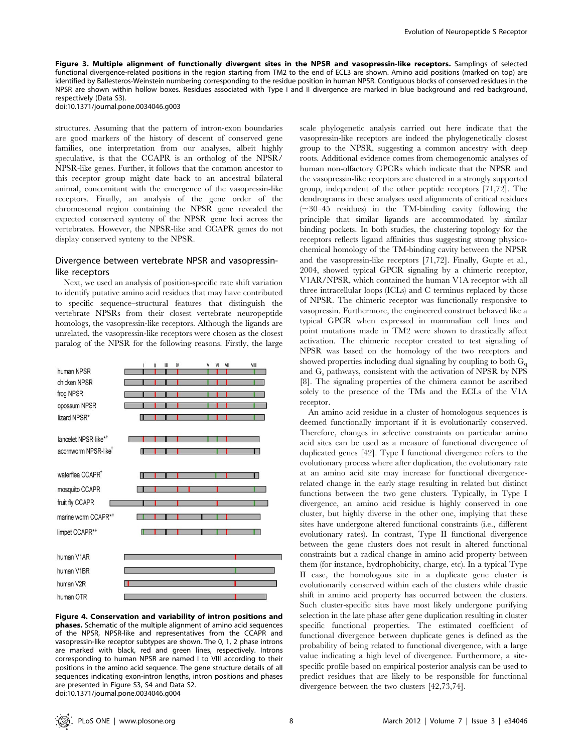Figure 3. Multiple alignment of functionally divergent sites in the NPSR and vasopressin-like receptors. Samplings of selected functional divergence-related positions in the region starting from TM2 to the end of ECL3 are shown. Amino acid positions (marked on top) are identified by Ballesteros-Weinstein numbering corresponding to the residue position in human NPSR. Contiguous blocks of conserved residues in the NPSR are shown within hollow boxes. Residues associated with Type I and II divergence are marked in blue background and red background, respectively (Data S3).

doi:10.1371/journal.pone.0034046.g003

structures. Assuming that the pattern of intron-exon boundaries are good markers of the history of descent of conserved gene families, one interpretation from our analyses, albeit highly speculative, is that the CCAPR is an ortholog of the NPSR/ NPSR-like genes. Further, it follows that the common ancestor to this receptor group might date back to an ancestral bilateral animal, concomitant with the emergence of the vasopressin-like receptors. Finally, an analysis of the gene order of the chromosomal region containing the NPSR gene revealed the expected conserved synteny of the NPSR gene loci across the vertebrates. However, the NPSR-like and CCAPR genes do not display conserved synteny to the NPSR.

# Divergence between vertebrate NPSR and vasopressinlike receptors

Next, we used an analysis of position-specific rate shift variation to identify putative amino acid residues that may have contributed to specific sequence–structural features that distinguish the vertebrate NPSRs from their closest vertebrate neuropeptide homologs, the vasopressin-like receptors. Although the ligands are unrelated, the vasopressin-like receptors were chosen as the closest paralog of the NPSR for the following reasons. Firstly, the large



Figure 4. Conservation and variability of intron positions and phases. Schematic of the multiple alignment of amino acid sequences of the NPSR, NPSR-like and representatives from the CCAPR and vasopressin-like receptor subtypes are shown. The 0, 1, 2 phase introns are marked with black, red and green lines, respectively. Introns corresponding to human NPSR are named I to VIII according to their positions in the amino acid sequence. The gene structure details of all sequences indicating exon-intron lengths, intron positions and phases are presented in Figure S3, S4 and Data S2. doi:10.1371/journal.pone.0034046.g004

scale phylogenetic analysis carried out here indicate that the vasopressin-like receptors are indeed the phylogenetically closest group to the NPSR, suggesting a common ancestry with deep roots. Additional evidence comes from chemogenomic analyses of human non-olfactory GPCRs which indicate that the NPSR and the vasopressin-like receptors are clustered in a strongly supported group, independent of the other peptide receptors [71,72]. The dendrograms in these analyses used alignments of critical residues  $(\sim)30-45$  residues) in the TM-binding cavity following the principle that similar ligands are accommodated by similar binding pockets. In both studies, the clustering topology for the receptors reflects ligand affinities thus suggesting strong physicochemical homology of the TM-binding cavity between the NPSR and the vasopressin-like receptors [71,72]. Finally, Gupte et al., 2004, showed typical GPCR signaling by a chimeric receptor, V1AR/NPSR, which contained the human V1A receptor with all three intracellular loops (ICLs) and C terminus replaced by those of NPSR. The chimeric receptor was functionally responsive to vasopressin. Furthermore, the engineered construct behaved like a typical GPCR when expressed in mammalian cell lines and point mutations made in TM2 were shown to drastically affect activation. The chimeric receptor created to test signaling of NPSR was based on the homology of the two receptors and showed properties including dual signaling by coupling to both  $G_{\alpha}$ and  $G_s$  pathways, consistent with the activation of NPSR by NPS [8]. The signaling properties of the chimera cannot be ascribed solely to the presence of the TMs and the ECLs of the V1A receptor.

An amino acid residue in a cluster of homologous sequences is deemed functionally important if it is evolutionarily conserved. Therefore, changes in selective constraints on particular amino acid sites can be used as a measure of functional divergence of duplicated genes [42]. Type I functional divergence refers to the evolutionary process where after duplication, the evolutionary rate at an amino acid site may increase for functional divergencerelated change in the early stage resulting in related but distinct functions between the two gene clusters. Typically, in Type I divergence, an amino acid residue is highly conserved in one cluster, but highly diverse in the other one, implying that these sites have undergone altered functional constraints (i.e., different evolutionary rates). In contrast, Type II functional divergence between the gene clusters does not result in altered functional constraints but a radical change in amino acid property between them (for instance, hydrophobicity, charge, etc). In a typical Type II case, the homologous site in a duplicate gene cluster is evolutionarily conserved within each of the clusters while drastic shift in amino acid property has occurred between the clusters. Such cluster-specific sites have most likely undergone purifying selection in the late phase after gene duplication resulting in cluster specific functional properties. The estimated coefficient of functional divergence between duplicate genes is defined as the probability of being related to functional divergence, with a large value indicating a high level of divergence. Furthermore, a sitespecific profile based on empirical posterior analysis can be used to predict residues that are likely to be responsible for functional divergence between the two clusters [42,73,74].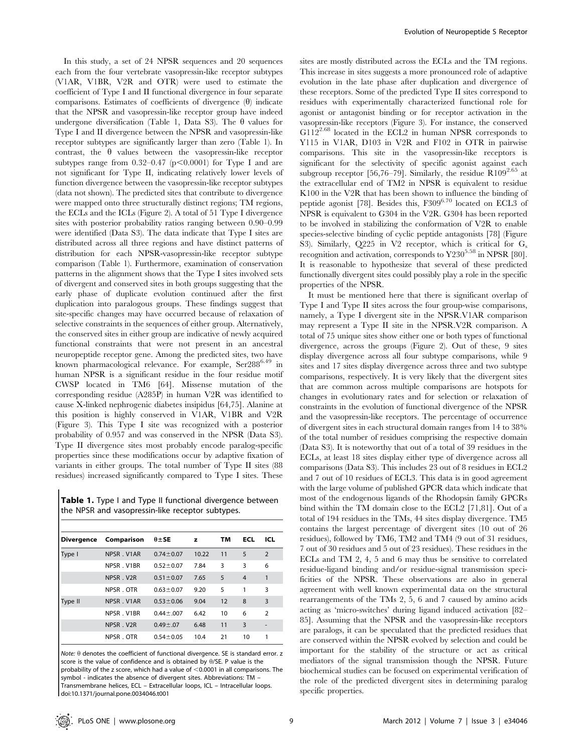In this study, a set of 24 NPSR sequences and 20 sequences each from the four vertebrate vasopressin-like receptor subtypes (V1AR, V1BR, V2R and OTR) were used to estimate the coefficient of Type I and II functional divergence in four separate comparisons. Estimates of coefficients of divergence  $(\theta)$  indicate that the NPSR and vasopressin-like receptor group have indeed undergone diversification (Table 1, Data S3). The  $\theta$  values for Type I and II divergence between the NPSR and vasopressin-like receptor subtypes are significantly larger than zero (Table 1). In contrast, the  $\theta$  values between the vasopressin-like receptor subtypes range from  $0.32-0.47$  (p $\leq 0.0001$ ) for Type I and are not significant for Type II, indicating relatively lower levels of function divergence between the vasopressin-like receptor subtypes (data not shown). The predicted sites that contribute to divergence were mapped onto three structurally distinct regions; TM regions, the ECLs and the ICLs (Figure 2). A total of 51 Type I divergence sites with posterior probability ratios ranging between 0.90–0.99 were identified (Data S3). The data indicate that Type I sites are distributed across all three regions and have distinct patterns of distribution for each NPSR-vasopressin-like receptor subtype comparison (Table 1). Furthermore, examination of conservation patterns in the alignment shows that the Type I sites involved sets of divergent and conserved sites in both groups suggesting that the early phase of duplicate evolution continued after the first duplication into paralogous groups. These findings suggest that site-specific changes may have occurred because of relaxation of selective constraints in the sequences of either group. Alternatively, the conserved sites in either group are indicative of newly acquired functional constraints that were not present in an ancestral neuropeptide receptor gene. Among the predicted sites, two have known pharmacological relevance. For example, Ser288<sup>6.49</sup> in human NPSR is a significant residue in the four residue motif CWSP located in TM6 [64]. Missense mutation of the corresponding residue (A285P) in human V2R was identified to cause X-linked nephrogenic diabetes insipidus [64,75]. Alanine at this position is highly conserved in V1AR, V1BR and V2R (Figure 3). This Type I site was recognized with a posterior probability of 0.957 and was conserved in the NPSR (Data S3). Type II divergence sites most probably encode paralog-specific properties since these modifications occur by adaptive fixation of variants in either groups. The total number of Type II sites (88 residues) increased significantly compared to Type I sites. These

Table 1. Type I and Type II functional divergence between the NPSR and vasopressin-like receptor subtypes.

| <b>Divergence</b> | Comparison | $\theta \pm SE$  | z     | тм | <b>ECL</b>     | ICL            |
|-------------------|------------|------------------|-------|----|----------------|----------------|
| Type I            | NPSR V1AR  | $0.74 \pm 0.07$  | 10.22 | 11 | 5              | $\overline{2}$ |
|                   | NPSR V1BR  | $0.52 \pm 0.07$  | 7.84  | 3  | 3              | 6              |
|                   | NPSR. V2R  | $0.51 \pm 0.07$  | 7.65  | 5  | $\overline{4}$ | 1              |
|                   | NPSR . OTR | $0.63 \pm 0.07$  | 9.20  | 5  | 1              | 3              |
| Type II           | NPSR V1AR  | $0.53 \pm 0.06$  | 9.04  | 12 | 8              | 3              |
|                   | NPSR V1BR  | $0.44 \pm 0.007$ | 6.42  | 10 | 6              | $\overline{2}$ |
|                   | NPSR. V2R  | $0.49 + 0.07$    | 6.48  | 11 | 3              | ٠              |
|                   | NPSR. OTR  | $0.54 \pm 0.05$  | 10.4  | 21 | 10             | 1              |

Note:  $\theta$  denotes the coefficient of functional divergence. SE is standard error. z score is the value of confidence and is obtained by  $\theta$ /SE. P value is the probability of the z score, which had a value of <0.0001 in all comparisons. The symbol - indicates the absence of divergent sites. Abbreviations: TM – Transmembrane helices, ECL – Extracellular loops, ICL – Intracellular loops. doi:10.1371/journal.pone.0034046.t001

sites are mostly distributed across the ECLs and the TM regions. This increase in sites suggests a more pronounced role of adaptive evolution in the late phase after duplication and divergence of these receptors. Some of the predicted Type II sites correspond to residues with experimentally characterized functional role for agonist or antagonist binding or for receptor activation in the vasopressin-like receptors (Figure 3). For instance, the conserved G112<sup>2.68</sup> located in the ECL2 in human NPSR corresponds to Y115 in V1AR, D103 in V2R and F102 in OTR in pairwise comparisons. This site in the vasopressin-like receptors is significant for the selectivity of specific agonist against each subgroup receptor [56,76–79]. Similarly, the residue  $R109^{2.65}$  at the extracellular end of TM2 in NPSR is equivalent to residue K100 in the V2R that has been shown to influence the binding of peptide agonist [78]. Besides this,  $F309^{6.70}$  located on ECL3 of NPSR is equivalent to G304 in the V2R. G304 has been reported to be involved in stabilizing the conformation of V2R to enable species-selective binding of cyclic peptide antagonists [78] (Figure S3). Similarly, Q225 in V2 receptor, which is critical for  $G_s$ recognition and activation, corresponds to  $Y230^{5.58}$  in NPSR [80]. It is reasonable to hypothesize that several of these predicted functionally divergent sites could possibly play a role in the specific properties of the NPSR.

It must be mentioned here that there is significant overlap of Type I and Type II sites across the four group-wise comparisons, namely, a Type I divergent site in the NPSR.V1AR comparison may represent a Type II site in the NPSR.V2R comparison. A total of 75 unique sites show either one or both types of functional divergence, across the groups (Figure 2). Out of these, 9 sites display divergence across all four subtype comparisons, while 9 sites and 17 sites display divergence across three and two subtype comparisons, respectively. It is very likely that the divergent sites that are common across multiple comparisons are hotspots for changes in evolutionary rates and for selection or relaxation of constraints in the evolution of functional divergence of the NPSR and the vasopressin-like receptors. The percentage of occurrence of divergent sites in each structural domain ranges from 14 to 38% of the total number of residues comprising the respective domain (Data S3). It is noteworthy that out of a total of 39 residues in the ECLs, at least 18 sites display either type of divergence across all comparisons (Data S3). This includes 23 out of 8 residues in ECL2 and 7 out of 10 residues of ECL3. This data is in good agreement with the large volume of published GPCR data which indicate that most of the endogenous ligands of the Rhodopsin family GPCRs bind within the TM domain close to the ECL2 [71,81]. Out of a total of 194 residues in the TMs, 44 sites display divergence. TM5 contains the largest percentage of divergent sites (10 out of 26 residues), followed by TM6, TM2 and TM4 (9 out of 31 residues, 7 out of 30 residues and 5 out of 23 residues). These residues in the ECLs and TM 2, 4, 5 and 6 may thus be sensitive to correlated residue-ligand binding and/or residue-signal transmission specificities of the NPSR. These observations are also in general agreement with well known experimental data on the structural rearrangements of the TMs 2, 5, 6 and 7 caused by amino acids acting as 'micro-switches' during ligand induced activation [82– 85]. Assuming that the NPSR and the vasopressin-like receptors are paralogs, it can be speculated that the predicted residues that are conserved within the NPSR evolved by selection and could be important for the stability of the structure or act as critical mediators of the signal transmission though the NPSR. Future biochemical studies can be focused on experimental verification of the role of the predicted divergent sites in determining paralog specific properties.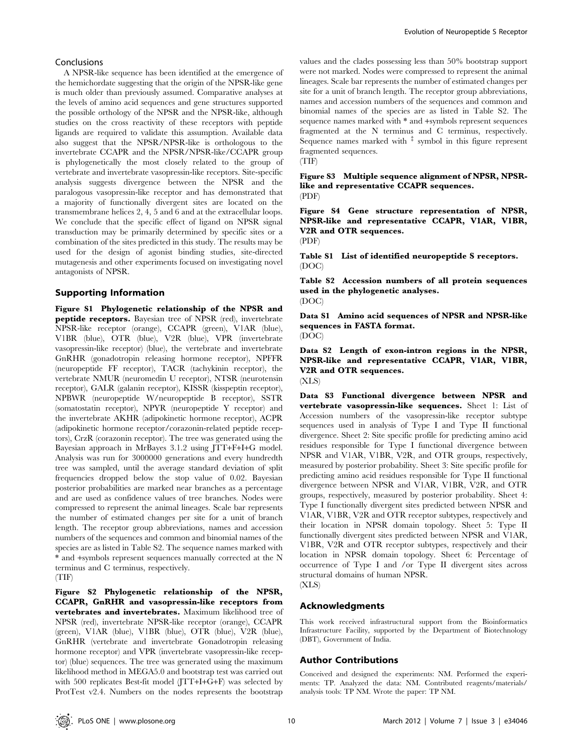#### Conclusions

A NPSR-like sequence has been identified at the emergence of the hemichordate suggesting that the origin of the NPSR-like gene is much older than previously assumed. Comparative analyses at the levels of amino acid sequences and gene structures supported the possible orthology of the NPSR and the NPSR-like, although studies on the cross reactivity of these receptors with peptide ligands are required to validate this assumption. Available data also suggest that the NPSR/NPSR-like is orthologous to the invertebrate CCAPR and the NPSR/NPSR-like/CCAPR group is phylogenetically the most closely related to the group of vertebrate and invertebrate vasopressin-like receptors. Site-specific analysis suggests divergence between the NPSR and the paralogous vasopressin-like receptor and has demonstrated that a majority of functionally divergent sites are located on the transmembrane helices 2, 4, 5 and 6 and at the extracellular loops. We conclude that the specific effect of ligand on NPSR signal transduction may be primarily determined by specific sites or a combination of the sites predicted in this study. The results may be used for the design of agonist binding studies, site-directed mutagenesis and other experiments focused on investigating novel antagonists of NPSR.

# Supporting Information

Figure S1 Phylogenetic relationship of the NPSR and peptide receptors. Bayesian tree of NPSR (red), invertebrate NPSR-like receptor (orange), CCAPR (green), V1AR (blue), V1BR (blue), OTR (blue), V2R (blue), VPR (invertebrate vasopressin-like receptor) (blue), the vertebrate and invertebrate GnRHR (gonadotropin releasing hormone receptor), NPFFR (neuropeptide FF receptor), TACR (tachykinin receptor), the vertebrate NMUR (neuromedin U receptor), NTSR (neurotensin receptor), GALR (galanin receptor), KISSR (kisspeptin receptor), NPBWR (neuropeptide W/neuropeptide B receptor), SSTR (somatostatin receptor), NPYR (neuropeptide Y receptor) and the invertebrate AKHR (adipokinetic hormone receptor), ACPR (adipokinetic hormone receptor/corazonin-related peptide receptors), CrzR (corazonin receptor). The tree was generated using the Bayesian approach in MrBayes 3.1.2 using JTT+F+I+G model. Analysis was run for 3000000 generations and every hundredth tree was sampled, until the average standard deviation of split frequencies dropped below the stop value of 0.02. Bayesian posterior probabilities are marked near branches as a percentage and are used as confidence values of tree branches. Nodes were compressed to represent the animal lineages. Scale bar represents the number of estimated changes per site for a unit of branch length. The receptor group abbreviations, names and accession numbers of the sequences and common and binomial names of the species are as listed in Table S2. The sequence names marked with \* and +symbols represent sequences manually corrected at the N terminus and C terminus, respectively. (TIF)

Figure S2 Phylogenetic relationship of the NPSR, CCAPR, GnRHR and vasopressin-like receptors from vertebrates and invertebrates. Maximum likelihood tree of NPSR (red), invertebrate NPSR-like receptor (orange), CCAPR (green), V1AR (blue), V1BR (blue), OTR (blue), V2R (blue), GnRHR (vertebrate and invertebrate Gonadotropin releasing hormone receptor) and VPR (invertebrate vasopressin-like receptor) (blue) sequences. The tree was generated using the maximum likelihood method in MEGA5.0 and bootstrap test was carried out with 500 replicates Best-fit model (JTT+I+G+F) was selected by ProtTest v2.4. Numbers on the nodes represents the bootstrap

values and the clades possessing less than 50% bootstrap support were not marked. Nodes were compressed to represent the animal lineages. Scale bar represents the number of estimated changes per site for a unit of branch length. The receptor group abbreviations, names and accession numbers of the sequences and common and binomial names of the species are as listed in Table S2. The sequence names marked with \* and +symbols represent sequences fragmented at the N terminus and C terminus, respectively. Sequence names marked with  $\frac{1}{x}$  symbol in this figure represent fragmented sequences.

(TIF)

Figure S3 Multiple sequence alignment of NPSR, NPSRlike and representative CCAPR sequences.

(PDF)

Figure S4 Gene structure representation of NPSR, NPSR-like and representative CCAPR, V1AR, V1BR, V2R and OTR sequences.

(PDF)

Table S1 List of identified neuropeptide S receptors. (DOC)

Table S2 Accession numbers of all protein sequences used in the phylogenetic analyses. (DOC)

Data S1 Amino acid sequences of NPSR and NPSR-like sequences in FASTA format. (DOC)

Data S2 Length of exon-intron regions in the NPSR, NPSR-like and representative CCAPR, V1AR, V1BR, V2R and OTR sequences. (XLS)

Data S3 Functional divergence between NPSR and vertebrate vasopressin-like sequences. Sheet 1: List of Accession numbers of the vasopressin-like receptor subtype sequences used in analysis of Type I and Type II functional divergence. Sheet 2: Site specific profile for predicting amino acid residues responsible for Type I functional divergence between NPSR and V1AR, V1BR, V2R, and OTR groups, respectively, measured by posterior probability. Sheet 3: Site specific profile for predicting amino acid residues responsible for Type II functional divergence between NPSR and V1AR, V1BR, V2R, and OTR groups, respectively, measured by posterior probability. Sheet 4: Type I functionally divergent sites predicted between NPSR and V1AR, V1BR, V2R and OTR receptor subtypes, respectively and their location in NPSR domain topology. Sheet 5: Type II functionally divergent sites predicted between NPSR and V1AR, V1BR, V2R and OTR receptor subtypes, respectively and their location in NPSR domain topology. Sheet 6: Percentage of occurrence of Type I and /or Type II divergent sites across structural domains of human NPSR. (XLS)

# Acknowledgments

This work received infrastructural support from the Bioinformatics Infrastructure Facility, supported by the Department of Biotechnology (DBT), Government of India.

# Author Contributions

Conceived and designed the experiments: NM. Performed the experiments: TP. Analyzed the data: NM. Contributed reagents/materials/ analysis tools: TP NM. Wrote the paper: TP NM.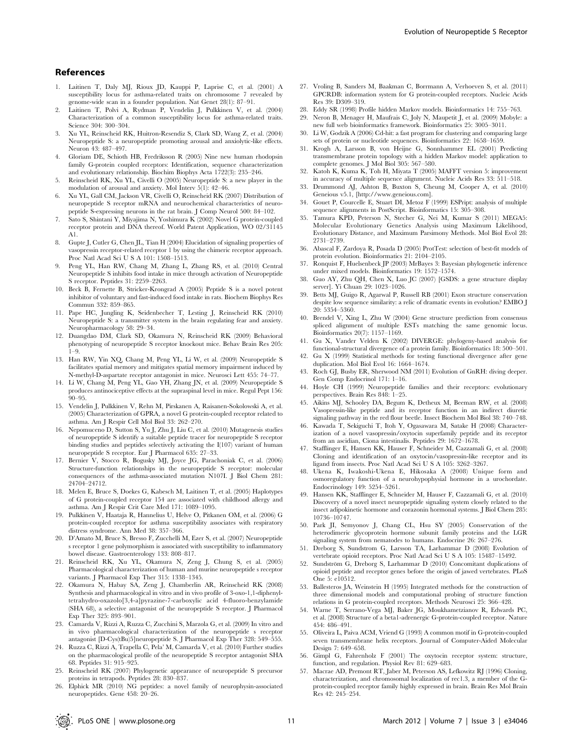#### References

- 1. Laitinen T, Daly MJ, Rioux JD, Kauppi P, Laprise C, et al. (2001) A susceptibility locus for asthma-related traits on chromosome 7 revealed by genome-wide scan in a founder population. Nat Genet 28(1): 87–91.
- 2. Laitinen T, Polvi A, Rydman P, Vendelin J, Pulkkinen V, et al. (2004) Characterization of a common susceptibility locus for asthma-related traits. Science 304: 300–304.
- 3. Xu YL, Reinscheid RK, Huitron-Resendiz S, Clark SD, Wang Z, et al. (2004) Neuropeptide S: a neuropeptide promoting arousal and anxiolytic-like effects. Neuron 43: 487–497.
- 4. Gloriam DE, Schioth HB, Fredriksson R (2005) Nine new human rhodopsin family G-protein coupled receptors: Identification, sequence characterization and evolutionary relationship. Biochim Biophys Acta 1722(3): 235–246.
- 5. Reinscheid RK, Xu YL, Civelli O (2005) Neuropeptide S: a new player in the modulation of arousal and anxiety. Mol Interv 5(1): 42–46.
- 6. Xu YL, Gall CM, Jackson VR, Civelli O, Reinscheid RK (2007) Distribution of neuropeptide S receptor mRNA and neurochemical characteristics of neuropeptide S-expressing neurons in the rat brain. J Comp Neurol 500: 84–102.
- 7. Sato S, Shintani Y, Miyajima N, Yoshimura K (2002) Novel G protein-coupled receptor protein and DNA thereof. World Patent Application, WO 02/31145 A1.
- 8. Gupte J, Cutler G, Chen JL, Tian H (2004) Elucidation of signaling properties of vasopressin receptor-related receptor 1 by using the chimeric receptor approach. Proc Natl Acad Sci U S A 101: 1508–1513.
- 9. Peng YL, Han RW, Chang M, Zhang L, Zhang RS, et al. (2010) Central Neuropeptide S inhibits food intake in mice through activation of Neuropeptide S receptor. Peptides 31: 2259–2263.
- 10. Beck B, Fernette B, Stricker-Krongrad A (2005) Peptide S is a novel potent inhibitor of voluntary and fast-induced food intake in rats. Biochem Biophys Res Commun 332: 859–865.
- 11. Pape HC, Jungling K, Seidenbecher T, Lesting J, Reinscheid RK (2010) Neuropeptide S: a transmitter system in the brain regulating fear and anxiety. Neuropharmacology 58: 29–34.
- 12. Duangdao DM, Clark SD, Okamura N, Reinscheid RK (2009) Behavioral phenotyping of neuropeptide S receptor knockout mice. Behav Brain Res 205:  $1 - 9$
- 13. Han RW, Yin XQ, Chang M, Peng YL, Li W, et al. (2009) Neuropeptide S facilitates spatial memory and mitigates spatial memory impairment induced by N-methyl-D-aspartate receptor antagonist in mice. Neurosci Lett 455: 74–77.
- 14. Li W, Chang M, Peng YL, Gao YH, Zhang JN, et al. (2009) Neuropeptide S produces antinociceptive effects at the supraspinal level in mice. Regul Pept 156: 90–95.
- 15. Vendelin J, Pulkkinen V, Rehn M, Pirskanen A, Raisanen-Sokolowski A, et al. (2005) Characterization of GPRA, a novel G protein-coupled receptor related to asthma. Am J Respir Cell Mol Biol 33: 262–270.
- 16. Nepomuceno D, Sutton S, Yu J, Zhu J, Liu C, et al. (2010) Mutagenesis studies of neuropeptide S identify a suitable peptide tracer for neuropeptide S receptor binding studies and peptides selectively activating the I(107) variant of human neuropeptide S receptor. Eur J Pharmacol 635: 27–33.
- 17. Bernier V, Stocco R, Bogusky MJ, Joyce JG, Parachoniak C, et al. (2006) Structure-function relationships in the neuropeptide S receptor: molecular consequences of the asthma-associated mutation N107I. J Biol Chem 281: 24704–24712.
- 18. Melen E, Bruce S, Doekes G, Kabesch M, Laitinen T, et al. (2005) Haplotypes of G protein-coupled receptor 154 are associated with childhood allergy and asthma. Am J Respir Crit Care Med 171: 1089–1095.
- 19. Pulkkinen V, Haataja R, Hannelius U, Helve O, Pitkanen OM, et al. (2006) G protein-coupled receptor for asthma susceptibility associates with respiratory distress syndrome. Ann Med 38: 357–366.
- 20. D'Amato M, Bruce S, Bresso F, Zucchelli M, Ezer S, et al. (2007) Neuropeptide s receptor 1 gene polymorphism is associated with susceptibility to inflammatory bowel disease. Gastroenterology 133: 808–817.
- 21. Reinscheid RK, Xu YL, Okamura N, Zeng J, Chung S, et al. (2005) Pharmacological characterization of human and murine neuropeptide s receptor variants. J Pharmacol Exp Ther 315: 1338–1345.
- 22. Okamura N, Habay SA, Zeng J, Chamberlin AR, Reinscheid RK (2008) Synthesis and pharmacological in vitro and in vivo profile of 3-oxo-1,1-diphenyltetrahydro-oxazolo[3,4-a]pyrazine-7-carboxylic acid 4-fluoro-benzylamide (SHA 68), a selective antagonist of the neuropeptide S receptor. J Pharmacol Exp Ther 325: 893–901.
- 23. Camarda V, Rizzi A, Ruzza C, Zucchini S, Marzola G, et al. (2009) In vitro and in vivo pharmacological characterization of the neuropeptide s receptor antagonist [D-Cys(tBu)5]neuropeptide S. J Pharmacol Exp Ther 328: 549–555.
- 24. Ruzza C, Rizzi A, Trapella C, Pela' M, Camarda V, et al. (2010) Further studies on the pharmacological profile of the neuropeptide S receptor antagonist SHA 68. Peptides 31: 915–925.
- 25. Reinscheid RK (2007) Phylogenetic appearance of neuropeptide S precursor proteins in tetrapods. Peptides 28: 830–837.
- 26. Elphick MR (2010) NG peptides: a novel family of neurophysin-associated neuropeptides. Gene 458: 20–26.
- 27. Vroling B, Sanders M, Baakman C, Borrmann A, Verhoeven S, et al. (2011) GPCRDB: information system for G protein-coupled receptors. Nucleic Acids Res 39: D309–319.
- 28. Eddy SR (1998) Profile hidden Markov models. Bioinformatics 14: 755–763.
- 29. Neron B, Menager H, Maufrais C, Joly N, Maupetit J, et al. (2009) Mobyle: a new full web bioinformatics framework. Bioinformatics 25: 3005–3011.
- 30. Li W, Godzik A (2006) Cd-hit: a fast program for clustering and comparing large sets of protein or nucleotide sequences. Bioinformatics 22: 1658–1659.
- 31. Krogh A, Larsson B, von Heijne G, Sonnhammer EL (2001) Predicting transmembrane protein topology with a hidden Markov model: application to complete genomes. J Mol Biol 305: 567–580.
- 32. Katoh K, Kuma K, Toh H, Miyata T (2005) MAFFT version 5: improvement in accuracy of multiple sequence alignment. Nucleic Acids Res 33: 511–518.
- 33. Drummond AJ, Ashton B, Buxton S, Cheung M, Cooper A, et al. (2010) Geneious v5.1, [http://www.geneious.com].
- 34. Gouet P, Courcelle E, Stuart DI, Metoz F (1999) ESPript: analysis of multiple sequence alignments in PostScript. Bioinformatics 15: 305–308.
- 35. Tamura KPD, Peterson N, Stecher G, Nei M, Kumar S (2011) MEGA5: Molecular Evolutionary Genetics Analysis using Maximum Likelihood, Evolutionary Distance, and Maximum Parsimony Methods. Mol Biol Evol 28: 2731–2739.
- 36. Abascal F, Zardoya R, Posada D (2005) ProtTest: selection of best-fit models of protein evolution. Bioinformatics 21: 2104–2105.
- 37. Ronquist F, Huelsenbeck JP (2003) MrBayes 3: Bayesian phylogenetic inference under mixed models. Bioinformatics 19: 1572–1574.
- 38. Guo AY, Zhu QH, Chen X, Luo JC (2007) [GSDS: a gene structure display server]. Yi Chuan 29: 1023–1026.
- 39. Betts MJ, Guigo R, Agarwal P, Russell RB (2001) Exon structure conservation despite low sequence similarity: a relic of dramatic events in evolution? EMBO J 20: 5354–5360.
- 40. Brendel V, Xing L, Zhu W (2004) Gene structure prediction from consensus spliced alignment of multiple ESTs matching the same genomic locus. Bioinformatics 20(7): 1157–1169.
- 41. Gu X, Vander Velden K (2002) DIVERGE: phylogeny-based analysis for functional-structural divergence of a protein family. Bioinformatics 18: 500–501.
- 42. Gu X (1999) Statistical methods for testing functional divergence after gene duplication. Mol Biol Evol 16: 1664–1674.
- 43. Roch GJ, Busby ER, Sherwood NM (2011) Evolution of GnRH: diving deeper. Gen Comp Endocrinol 171: 1–16.
- 44. Hoyle CH (1999) Neuropeptide families and their receptors: evolutionary perspectives. Brain Res 848: 1–25.
- 45. Aikins MJ, Schooley DA, Begum K, Detheux M, Beeman RW, et al. (2008) Vasopressin-like peptide and its receptor function in an indirect diuretic signaling pathway in the red flour beetle. Insect Biochem Mol Biol 38: 740–748.
- 46. Kawada T, Sekiguchi T, Itoh Y, Ogasawara M, Satake H (2008) Characterization of a novel vasopressin/oxytocin superfamily peptide and its receptor from an ascidian, Ciona intestinalis. Peptides 29: 1672–1678.
- 47. Stafflinger E, Hansen KK, Hauser F, Schneider M, Cazzamali G, et al. (2008) Cloning and identification of an oxytocin/vasopressin-like receptor and its ligand from insects. Proc Natl Acad Sci U S A 105: 3262–3267.
- 48. Ukena K, Iwakoshi-Ukena E, Hikosaka A (2008) Unique form and osmoregulatory function of a neurohypophysial hormone in a urochordate. Endocrinology 149: 5254–5261.
- 49. Hansen KK, Stafflinger E, Schneider M, Hauser F, Cazzamali G, et al. (2010) Discovery of a novel insect neuropeptide signaling system closely related to the insect adipokinetic hormone and corazonin hormonal systems. J Biol Chem 285: 10736–10747.
- 50. Park JI, Semyonov J, Chang CL, Hsu SY (2005) Conservation of the heterodimeric glycoprotein hormone subunit family proteins and the LGR signaling system from nematodes to humans. Endocrine 26: 267–276.
- 51. Dreborg S, Sundstrom G, Larsson TA, Larhammar D (2008) Evolution of vertebrate opioid receptors. Proc Natl Acad Sci U S A 105: 15487–15492.
- 52. Sundström G, Dreborg S, Larhammar D (2010) Concomitant duplications of opioid peptide and receptor genes before the origin of jawed vertebrates. PLoS One 5: e10512.
- 53. Ballesteros JA, Weinstein H (1995) Integrated methods for the construction of three dimensional models and computational probing of structure function relations in G protein-coupled receptors. Methods Neurosci 25: 366–428.
- 54. Warne T, Serrano-Vega MJ, Baker JG, Moukhametzianov R, Edwards PC, et al. (2008) Structure of a beta1-adrenergic G-protein-coupled receptor. Nature 454: 486–491.
- 55. Oliveira L, Paiva ACM, Vriend G (1993) A common motif in G-protein-coupled seven transmembrane helix receptors. Journal of Computer-Aided Molecular Design 7: 649–658.
- 56. Gimpl G, Fahrenholz F (2001) The oxytocin receptor system: structure, function, and regulation. Physiol Rev 81: 629–683.
- 57. Macrae AD, Premont RT, Jaber M, Peterson AS, Lefkowitz RJ (1996) Cloning, characterization, and chromosomal localization of rec1.3, a member of the Gprotein-coupled receptor family highly expressed in brain. Brain Res Mol Brain  $R_{es}$  49: 945–954.